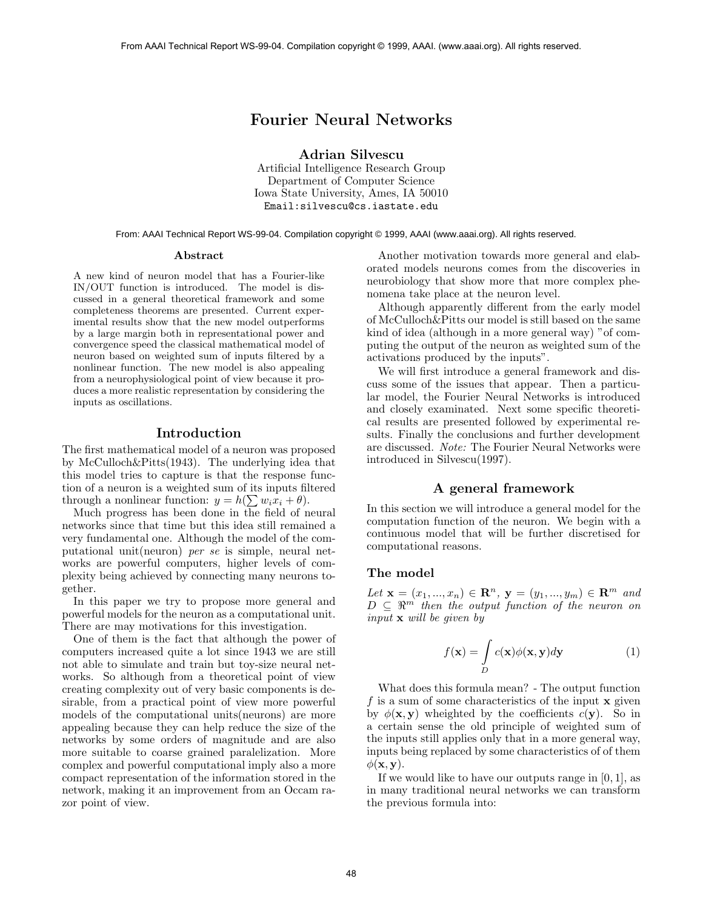# Fourier Neural Networks

Adrian Silvescu

Artificial Intelligence Research Group Department of Computer Science Iowa State University, Ames, IA 50010 Email:silvescu@cs.iastate.edu

From: AAAI Technical Report WS-99-04. Compilation copyright © 1999, AAAI (www.aaai.org). All rights reserved.

#### Abstract

A new kind of neuron model that has a Fourier-like IN/OUT function is introduced. The model is discussed in a general theoretical framework and some completeness theorems are presented. Current experimental results show that the new model outperforms by a large margin both in representational power and convergence speed the classical mathematical model of neuron based on weighted sum of inputs filtered by a nonlinear function. The new model is also appealing from a neurophysiological point of view because it produces a more realistic representation by considering the inputs as oscillations.

## Introduction

The first mathematical model of a neuron was proposed by McCulloch&Pitts(1943). The underlying idea that this model tries to capture is that the response function of a neuron is a weighted sum of its inputs filtered through a nonlinear function:  $y = h(\sum w_i \dot{x}_i + \theta)$ .

Much progress has been done in the field of neural networks since that time but this idea still remained a very fundamental one. Although the model of the computational unit(neuron) per se is simple, neural networks are powerful computers, higher levels of complexity being achieved by connecting many neurons together.

In this paper we try to propose more general and powerful models for the neuron as a computational unit. There are may motivations for this investigation.

One of them is the fact that although the power of computers increased quite a lot since 1943 we are still not able to simulate and train but toy-size neural networks. So although from a theoretical point of view creating complexity out of very basic components is desirable, from a practical point of view more powerful models of the computational units(neurons) are more appealing because they can help reduce the size of the networks by some orders of magnitude and are also more suitable to coarse grained paralelization. More complex and powerful computational imply also a more compact representation of the information stored in the network, making it an improvement from an Occam razor point of view. From AAAI Technical Report Was 30.6. Compilation copyright S199, AAAI. (www.aza.org). All rights reserved.<br>
Artificial Telebiopers of Corresponding the Movement Compilation control New York (New York 2001)<br>
Den Move New Y

Another motivation towards more general and elaborated models neurons comes from the discoveries in neurobiology that show more that more complex phenomena take place at the neuron level.

Although apparently different from the early model of McCulloch&Pitts our model is still based on the same kind of idea (although in a more general way) "of computing the output of the neuron as weighted sum of the activations produced by the inputs".

We will first introduce a general framework and discuss some of the issues that appear. Then a particular model, the Fourier Neural Networks is introduced and closely examinated. Next some specific theoretical results are presented followed by experimental results. Finally the conclusions and further development are discussed. Note: The Fourier Neural Networks were introduced in Silvescu(1997).

## A general framework

In this section we will introduce a general model for the computation function of the neuron. We begin with a continuous model that will be further discretised for computational reasons.

#### The model

Let  $\mathbf{x} = (x_1, ..., x_n) \in \mathbb{R}^n$ ,  $\mathbf{y} = (y_1, ..., y_m) \in \mathbb{R}^m$  and  $D \subseteq \mathbb{R}^m$  then the output function of the neuron on input x will be given by

$$
f(\mathbf{x}) = \int_{D} c(\mathbf{x}) \phi(\mathbf{x}, \mathbf{y}) d\mathbf{y}
$$
 (1)

What does this formula mean? - The output function f is a sum of some characteristics of the input  $x$  given by  $\phi(\mathbf{x}, \mathbf{y})$  wheighted by the coefficients  $c(\mathbf{y})$ . So in a certain sense the old principle of weighted sum of the inputs still applies only that in a more general way, inputs being replaced by some characteristics of of them  $\phi(\mathbf{x}, \mathbf{y}).$ 

If we would like to have our outputs range in  $[0, 1]$ , as in many traditional neural networks we can transform the previous formula into: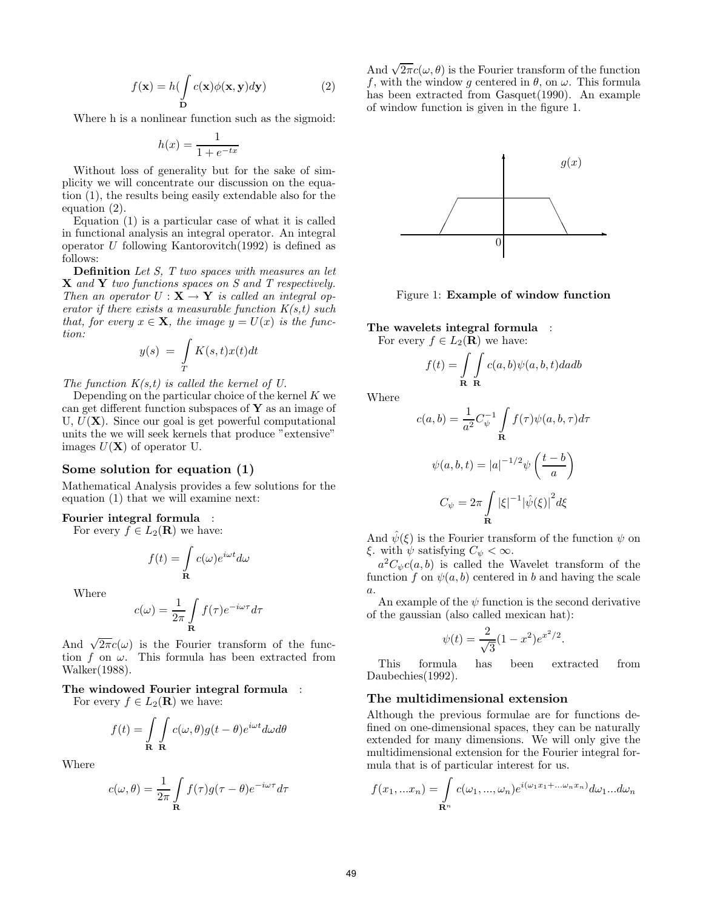$$
f(\mathbf{x}) = h \left( \int_{\mathbf{D}} c(\mathbf{x}) \phi(\mathbf{x}, \mathbf{y}) d\mathbf{y} \right) \tag{2}
$$

Where h is a nonlinear function such as the sigmoid:

$$
h(x) = \frac{1}{1 + e^{-tx}}
$$

Without loss of generality but for the sake of simplicity we will concentrate our discussion on the equation (1), the results being easily extendable also for the equation (2).

Equation (1) is a particular case of what it is called in functional analysis an integral operator. An integral operator  $U$  following Kantorovitch(1992) is defined as follows:

Definition Let S, T two spaces with measures an let X and Y two functions spaces on S and T respectively. Then an operator  $U : X \to Y$  is called an integral operator if there exists a measurable function  $K(s,t)$  such that, for every  $x \in \mathbf{X}$ , the image  $y = U(x)$  is the function:

$$
y(s) = \int\limits_T K(s,t)x(t)dt
$$

The function  $K(s,t)$  is called the kernel of U.

Depending on the particular choice of the kernel  $K$  we can get different function subspaces of  $\bf{Y}$  as an image of U,  $U(\mathbf{X})$ . Since our goal is get powerful computational units the we will seek kernels that produce "extensive" images  $U(\mathbf{X})$  of operator U.

#### Some solution for equation (1)

Mathematical Analysis provides a few solutions for the equation (1) that we will examine next:

#### Fourier integral formula :

For every  $f \in L_2(\mathbf{R})$  we have:

$$
f(t) = \int_{\mathbf{R}} c(\omega) e^{i\omega t} d\omega
$$

Where

$$
c(\omega) = \frac{1}{2\pi} \int_{\mathbf{R}} f(\tau) e^{-i\omega \tau} d\tau
$$

And  $\sqrt{2\pi}c(\omega)$  is the Fourier transform of the function f on  $\omega$ . This formula has been extracted from Walker(1988).

## The windowed Fourier integral formula :

For every  $f \in L_2(\mathbf{R})$  we have:

$$
f(t) = \int_{\mathbf{R}} \int_{\mathbf{R}} c(\omega, \theta) g(t - \theta) e^{i\omega t} d\omega d\theta
$$

Where

$$
c(\omega, \theta) = \frac{1}{2\pi} \int_{\mathbf{R}} f(\tau) g(\tau - \theta) e^{-i\omega \tau} d\tau
$$

And  $\sqrt{2\pi}c(\omega,\theta)$  is the Fourier transform of the function f, with the window g centered in  $\theta$ , on  $\omega$ . This formula has been extracted from Gasquet(1990). An example of window function is given in the figure 1.



Figure 1: Example of window function

The wavelets integral formula : For every  $f \in L_2(\mathbf{R})$  we have:

$$
f(t) = \int_{\mathbf{R}} \int_{\mathbf{R}} c(a, b) \psi(a, b, t) da db
$$

Where

$$
c(a,b) = \frac{1}{a^2} C_{\psi}^{-1} \int_{\mathbf{R}} f(\tau) \psi(a,b,\tau) d\tau
$$

$$
\psi(a,b,t) = |a|^{-1/2} \psi\left(\frac{t-b}{a}\right)
$$

$$
C_{\psi} = 2\pi \int_{\mathbf{R}} |\xi|^{-1} |\hat{\psi}(\xi)|^2 d\xi
$$

And  $\hat{\psi}(\xi)$  is the Fourier transform of the function  $\psi$  on ξ. with  $\psi$  satisfying  $C_{\psi} < \infty$ .

 $a^2C_\psi c(a,b)$  is called the Wavelet transform of the function f on  $\psi(a, b)$  centered in b and having the scale a.

An example of the  $\psi$  function is the second derivative of the gaussian (also called mexican hat):

$$
\psi(t) = \frac{2}{\sqrt{3}}(1 - x^2)e^{x^2/2}.
$$

This formula has been extracted from Daubechies(1992).

## The multidimensional extension

Although the previous formulae are for functions defined on one-dimensional spaces, they can be naturally extended for many dimensions. We will only give the multidimensional extension for the Fourier integral formula that is of particular interest for us.

$$
f(x_1,...x_n) = \int_{\mathbf{R}^n} c(\omega_1,...,\omega_n) e^{i(\omega_1 x_1 + ... \omega_n x_n)} d\omega_1 ... d\omega_n
$$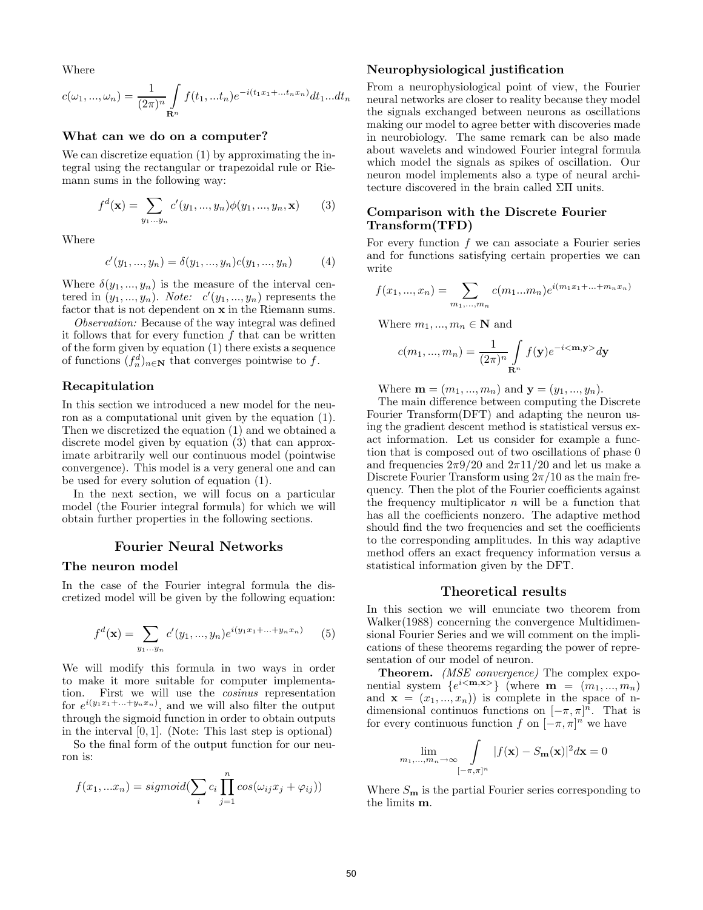Where

$$
c(\omega_1, ..., \omega_n) = \frac{1}{(2\pi)^n} \int_{\mathbf{R}^n} f(t_1, ... t_n) e^{-i(t_1 x_1 + ... t_n x_n)} dt_1 ... dt_n
$$

### What can we do on a computer?

We can discretize equation (1) by approximating the integral using the rectangular or trapezoidal rule or Riemann sums in the following way:

$$
f^{d}(\mathbf{x}) = \sum_{y_1...y_n} c'(y_1,..., y_n) \phi(y_1,..., y_n, \mathbf{x})
$$
 (3)

Where

$$
c'(y_1, ..., y_n) = \delta(y_1, ..., y_n)c(y_1, ..., y_n)
$$
 (4)

Where  $\delta(y_1, ..., y_n)$  is the measure of the interval centered in  $(y_1, ..., y_n)$ . Note:  $c'(y_1, ..., y_n)$  represents the factor that is not dependent on x in the Riemann sums.

Observation: Because of the way integral was defined it follows that for every function  $f$  that can be written of the form given by equation (1) there exists a sequence of functions  $(f_n^d)_{n \in \mathbb{N}}$  that converges pointwise to f.

## Recapitulation

In this section we introduced a new model for the neuron as a computational unit given by the equation (1). Then we discretized the equation (1) and we obtained a discrete model given by equation (3) that can approximate arbitrarily well our continuous model (pointwise convergence). This model is a very general one and can be used for every solution of equation (1).

In the next section, we will focus on a particular model (the Fourier integral formula) for which we will obtain further properties in the following sections.

## Fourier Neural Networks

### The neuron model

In the case of the Fourier integral formula the discretized model will be given by the following equation:

$$
f^{d}(\mathbf{x}) = \sum_{y_1...y_n} c'(y_1,...,y_n) e^{i(y_1x_1+...+y_nx_n)} \qquad (5)
$$

We will modify this formula in two ways in order to make it more suitable for computer implementation. First we will use the cosinus representation for  $e^{i(y_1x_1+\ldots+y_nx_n)}$ , and we will also filter the output through the sigmoid function in order to obtain outputs in the interval [0, 1]. (Note: This last step is optional)

So the final form of the output function for our neuron is:

$$
f(x_1,...x_n) = sigmoid(\sum_i c_i \prod_{j=1}^n cos(\omega_{ij}x_j + \varphi_{ij}))
$$

## Neurophysiological justification

From a neurophysiological point of view, the Fourier neural networks are closer to reality because they model the signals exchanged between neurons as oscillations making our model to agree better with discoveries made in neurobiology. The same remark can be also made about wavelets and windowed Fourier integral formula which model the signals as spikes of oscillation. Our neuron model implements also a type of neural architecture discovered in the brain called ΣΠ units.

## Comparison with the Discrete Fourier Transform(TFD)

For every function f we can associate a Fourier series and for functions satisfying certain properties we can write

$$
f(x_1, ..., x_n) = \sum_{m_1, ..., m_n} c(m_1...m_n) e^{i(m_1x_1 + ... + m_nx_n)}
$$

Where  $m_1, ..., m_n \in \mathbb{N}$  and

$$
c(m_1,...,m_n)=\frac{1}{(2\pi)^n}\int\limits_{\mathbf{R}^n}f(\mathbf{y})e^{-i\textstyle <\mathbf{m},\mathbf{y}\textstyle >}d\mathbf{y}
$$

Where  $\mathbf{m} = (m_1, ..., m_n)$  and  $\mathbf{y} = (y_1, ..., y_n)$ .

The main difference between computing the Discrete Fourier Transform(DFT) and adapting the neuron using the gradient descent method is statistical versus exact information. Let us consider for example a function that is composed out of two oscillations of phase 0 and frequencies  $2\pi$ 9/20 and  $2\pi$ 11/20 and let us make a Discrete Fourier Transform using  $2\pi/10$  as the main frequency. Then the plot of the Fourier coefficients against the frequency multiplicator  $n$  will be a function that has all the coefficients nonzero. The adaptive method should find the two frequencies and set the coefficients to the corresponding amplitudes. In this way adaptive method offers an exact frequency information versus a statistical information given by the DFT.

### Theoretical results

In this section we will enunciate two theorem from Walker(1988) concerning the convergence Multidimensional Fourier Series and we will comment on the implications of these theorems regarding the power of representation of our model of neuron.

Theorem. (MSE convergence) The complex exponential system  $\{e^{i \langle \mathbf{m}, \mathbf{x} \rangle}\}\$  (where  $\mathbf{m} = (m_1, ..., m_n)$ ) and  $\mathbf{x} = (x_1, ..., x_n)$  is complete in the space of ndimensional continuos functions on  $[-\pi, \pi]^n$ . That is for every continuous function f on  $[-\pi, \pi]^n$  we have

$$
\lim_{m_1,\dots,m_n\to\infty}\int\limits_{[-\pi,\pi]^n}|f(\mathbf{x})-S_{\mathbf{m}}(\mathbf{x})|^2d\mathbf{x}=0
$$

Where  $S_{\mathbf{m}}$  is the partial Fourier series corresponding to the limits m.